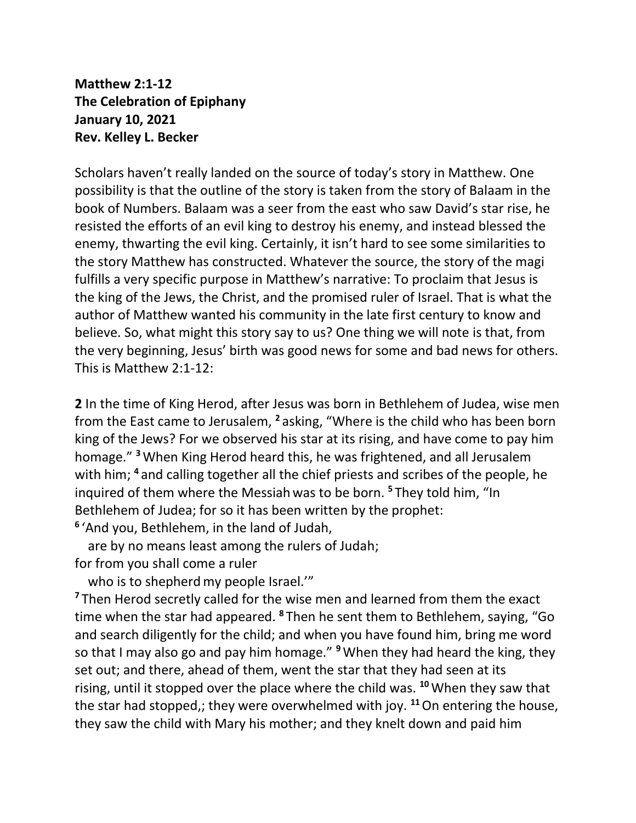**Matthew 2:1-12 The Celebration of Epiphany January 10, 2021 Rev. Kelley L. Becker**

Scholars haven't really landed on the source of today's story in Matthew. One possibility is that the outline of the story is taken from the story of Balaam in the book of Numbers. Balaam was a seer from the east who saw David's star rise, he resisted the efforts of an evil king to destroy his enemy, and instead blessed the enemy, thwarting the evil king. Certainly, it isn't hard to see some similarities to the story Matthew has constructed. Whatever the source, the story of the magi fulfills a very specific purpose in Matthew's narrative: To proclaim that Jesus is the king of the Jews, the Christ, and the promised ruler of Israel. That is what the author of Matthew wanted his community in the late first century to know and believe. So, what might this story say to us? One thing we will note is that, from the very beginning, Jesus' birth was good news for some and bad news for others. This is Matthew 2:1-12:

**2** In the time of King Herod, after Jesus was born in Bethlehem of Judea, wise men from the East came to Jerusalem, **<sup>2</sup>** asking, "Where is the child who has been born king of the Jews? For we observed his star at its rising, and have come to pay him homage." **<sup>3</sup>**When King Herod heard this, he was frightened, and all Jerusalem with him; **<sup>4</sup>** and calling together all the chief priests and scribes of the people, he inquired of them where the Messiah was to be born. **<sup>5</sup>** They told him, "In Bethlehem of Judea; for so it has been written by the prophet: **6** 'And you, Bethlehem, in the land of Judah,

 are by no means least among the rulers of Judah; for from you shall come a ruler

who is to shepherd my people Israel."

<sup>7</sup> Then Herod secretly called for the wise men and learned from them the exact time when the star had appeared. **<sup>8</sup>** Then he sent them to Bethlehem, saying, "Go and search diligently for the child; and when you have found him, bring me word so that I may also go and pay him homage." **<sup>9</sup>**When they had heard the king, they set out; and there, ahead of them, went the star that they had seen at its rising, until it stopped over the place where the child was. **<sup>10</sup>**When they saw that the star had stopped,; they were overwhelmed with joy. **<sup>11</sup>**On entering the house, they saw the child with Mary his mother; and they knelt down and paid him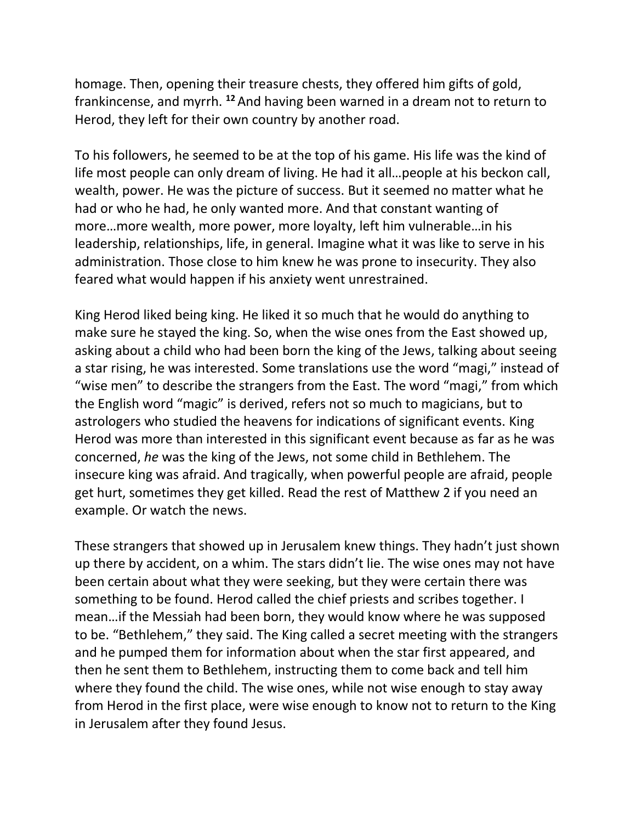homage. Then, opening their treasure chests, they offered him gifts of gold, frankincense, and myrrh. **<sup>12</sup>** And having been warned in a dream not to return to Herod, they left for their own country by another road.

To his followers, he seemed to be at the top of his game. His life was the kind of life most people can only dream of living. He had it all…people at his beckon call, wealth, power. He was the picture of success. But it seemed no matter what he had or who he had, he only wanted more. And that constant wanting of more…more wealth, more power, more loyalty, left him vulnerable…in his leadership, relationships, life, in general. Imagine what it was like to serve in his administration. Those close to him knew he was prone to insecurity. They also feared what would happen if his anxiety went unrestrained.

King Herod liked being king. He liked it so much that he would do anything to make sure he stayed the king. So, when the wise ones from the East showed up, asking about a child who had been born the king of the Jews, talking about seeing a star rising, he was interested. Some translations use the word "magi," instead of "wise men" to describe the strangers from the East. The word "magi," from which the English word "magic" is derived, refers not so much to magicians, but to astrologers who studied the heavens for indications of significant events. King Herod was more than interested in this significant event because as far as he was concerned, *he* was the king of the Jews, not some child in Bethlehem. The insecure king was afraid. And tragically, when powerful people are afraid, people get hurt, sometimes they get killed. Read the rest of Matthew 2 if you need an example. Or watch the news.

These strangers that showed up in Jerusalem knew things. They hadn't just shown up there by accident, on a whim. The stars didn't lie. The wise ones may not have been certain about what they were seeking, but they were certain there was something to be found. Herod called the chief priests and scribes together. I mean…if the Messiah had been born, they would know where he was supposed to be. "Bethlehem," they said. The King called a secret meeting with the strangers and he pumped them for information about when the star first appeared, and then he sent them to Bethlehem, instructing them to come back and tell him where they found the child. The wise ones, while not wise enough to stay away from Herod in the first place, were wise enough to know not to return to the King in Jerusalem after they found Jesus.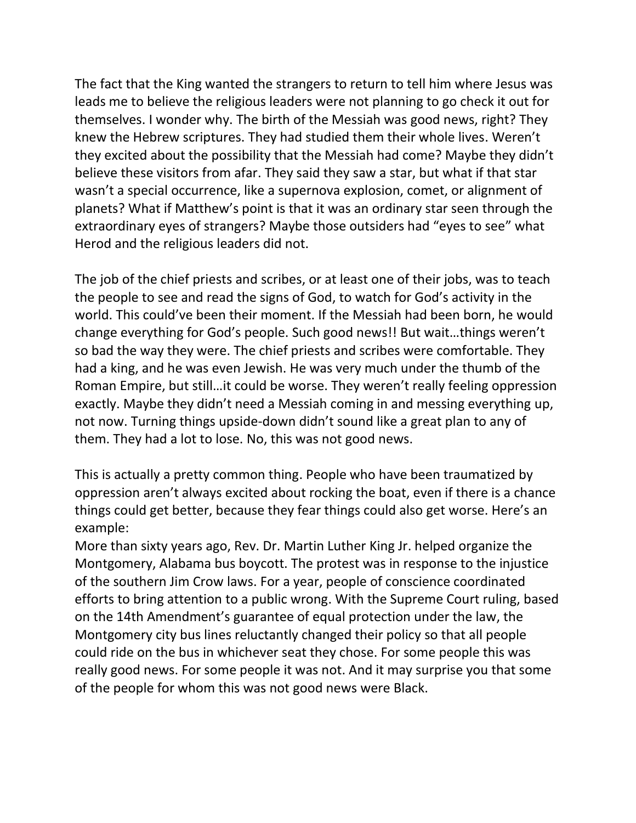The fact that the King wanted the strangers to return to tell him where Jesus was leads me to believe the religious leaders were not planning to go check it out for themselves. I wonder why. The birth of the Messiah was good news, right? They knew the Hebrew scriptures. They had studied them their whole lives. Weren't they excited about the possibility that the Messiah had come? Maybe they didn't believe these visitors from afar. They said they saw a star, but what if that star wasn't a special occurrence, like a supernova explosion, comet, or alignment of planets? What if Matthew's point is that it was an ordinary star seen through the extraordinary eyes of strangers? Maybe those outsiders had "eyes to see" what Herod and the religious leaders did not.

The job of the chief priests and scribes, or at least one of their jobs, was to teach the people to see and read the signs of God, to watch for God's activity in the world. This could've been their moment. If the Messiah had been born, he would change everything for God's people. Such good news!! But wait…things weren't so bad the way they were. The chief priests and scribes were comfortable. They had a king, and he was even Jewish. He was very much under the thumb of the Roman Empire, but still…it could be worse. They weren't really feeling oppression exactly. Maybe they didn't need a Messiah coming in and messing everything up, not now. Turning things upside-down didn't sound like a great plan to any of them. They had a lot to lose. No, this was not good news.

This is actually a pretty common thing. People who have been traumatized by oppression aren't always excited about rocking the boat, even if there is a chance things could get better, because they fear things could also get worse. Here's an example:

More than sixty years ago, Rev. Dr. Martin Luther King Jr. helped organize the Montgomery, Alabama bus boycott. The protest was in response to the injustice of the southern Jim Crow laws. For a year, people of conscience coordinated efforts to bring attention to a public wrong. With the Supreme Court ruling, based on the 14th Amendment's guarantee of equal protection under the law, the Montgomery city bus lines reluctantly changed their policy so that all people could ride on the bus in whichever seat they chose. For some people this was really good news. For some people it was not. And it may surprise you that some of the people for whom this was not good news were Black.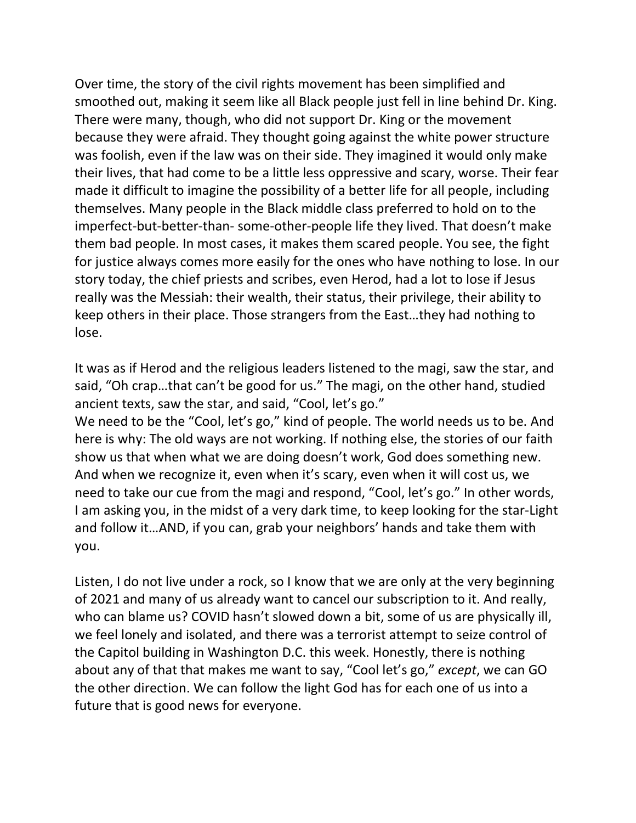Over time, the story of the civil rights movement has been simplified and smoothed out, making it seem like all Black people just fell in line behind Dr. King. There were many, though, who did not support Dr. King or the movement because they were afraid. They thought going against the white power structure was foolish, even if the law was on their side. They imagined it would only make their lives, that had come to be a little less oppressive and scary, worse. Their fear made it difficult to imagine the possibility of a better life for all people, including themselves. Many people in the Black middle class preferred to hold on to the imperfect-but-better-than- some-other-people life they lived. That doesn't make them bad people. In most cases, it makes them scared people. You see, the fight for justice always comes more easily for the ones who have nothing to lose. In our story today, the chief priests and scribes, even Herod, had a lot to lose if Jesus really was the Messiah: their wealth, their status, their privilege, their ability to keep others in their place. Those strangers from the East…they had nothing to lose.

It was as if Herod and the religious leaders listened to the magi, saw the star, and said, "Oh crap…that can't be good for us." The magi, on the other hand, studied ancient texts, saw the star, and said, "Cool, let's go."

We need to be the "Cool, let's go," kind of people. The world needs us to be. And here is why: The old ways are not working. If nothing else, the stories of our faith show us that when what we are doing doesn't work, God does something new. And when we recognize it, even when it's scary, even when it will cost us, we need to take our cue from the magi and respond, "Cool, let's go." In other words, I am asking you, in the midst of a very dark time, to keep looking for the star-Light and follow it…AND, if you can, grab your neighbors' hands and take them with you.

Listen, I do not live under a rock, so I know that we are only at the very beginning of 2021 and many of us already want to cancel our subscription to it. And really, who can blame us? COVID hasn't slowed down a bit, some of us are physically ill, we feel lonely and isolated, and there was a terrorist attempt to seize control of the Capitol building in Washington D.C. this week. Honestly, there is nothing about any of that that makes me want to say, "Cool let's go," *except*, we can GO the other direction. We can follow the light God has for each one of us into a future that is good news for everyone.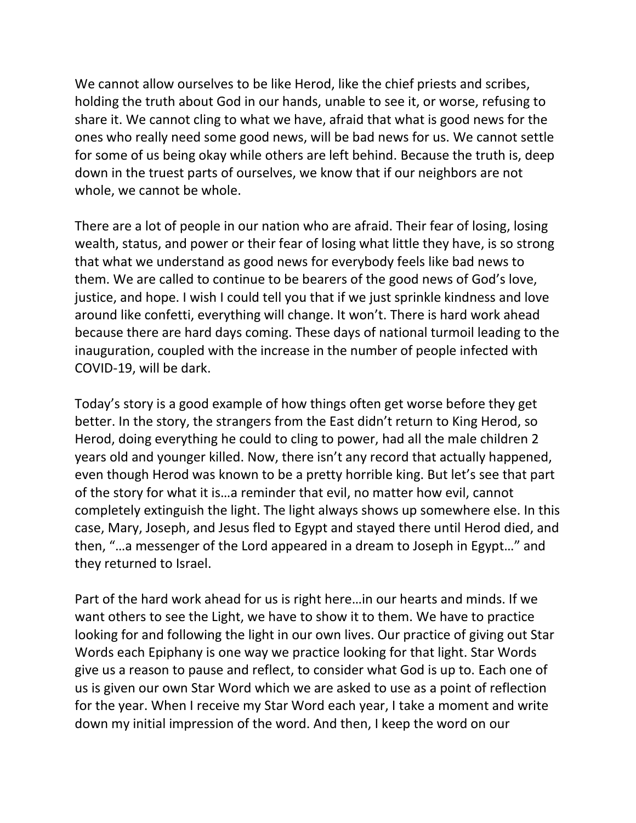We cannot allow ourselves to be like Herod, like the chief priests and scribes, holding the truth about God in our hands, unable to see it, or worse, refusing to share it. We cannot cling to what we have, afraid that what is good news for the ones who really need some good news, will be bad news for us. We cannot settle for some of us being okay while others are left behind. Because the truth is, deep down in the truest parts of ourselves, we know that if our neighbors are not whole, we cannot be whole.

There are a lot of people in our nation who are afraid. Their fear of losing, losing wealth, status, and power or their fear of losing what little they have, is so strong that what we understand as good news for everybody feels like bad news to them. We are called to continue to be bearers of the good news of God's love, justice, and hope. I wish I could tell you that if we just sprinkle kindness and love around like confetti, everything will change. It won't. There is hard work ahead because there are hard days coming. These days of national turmoil leading to the inauguration, coupled with the increase in the number of people infected with COVID-19, will be dark.

Today's story is a good example of how things often get worse before they get better. In the story, the strangers from the East didn't return to King Herod, so Herod, doing everything he could to cling to power, had all the male children 2 years old and younger killed. Now, there isn't any record that actually happened, even though Herod was known to be a pretty horrible king. But let's see that part of the story for what it is…a reminder that evil, no matter how evil, cannot completely extinguish the light. The light always shows up somewhere else. In this case, Mary, Joseph, and Jesus fled to Egypt and stayed there until Herod died, and then, "…a messenger of the Lord appeared in a dream to Joseph in Egypt…" and they returned to Israel.

Part of the hard work ahead for us is right here…in our hearts and minds. If we want others to see the Light, we have to show it to them. We have to practice looking for and following the light in our own lives. Our practice of giving out Star Words each Epiphany is one way we practice looking for that light. Star Words give us a reason to pause and reflect, to consider what God is up to. Each one of us is given our own Star Word which we are asked to use as a point of reflection for the year. When I receive my Star Word each year, I take a moment and write down my initial impression of the word. And then, I keep the word on our